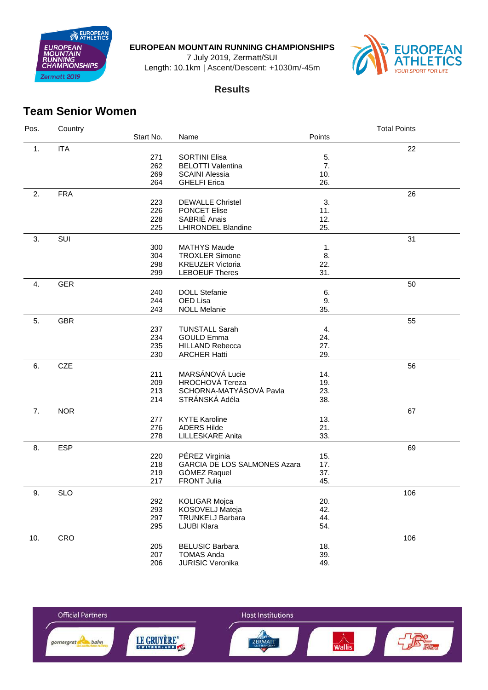

**EUROPEAN MOUNTAIN RUNNING CHAMPIONSHIPS**

July 2019, Zermatt/SUI

Length: 10.1km | Ascent/Descent: +1030m/-45m



## **Results**

## **Team Senior Women**

| Pos. | Country    |           |                                     |        | <b>Total Points</b> |
|------|------------|-----------|-------------------------------------|--------|---------------------|
|      |            | Start No. | Name                                | Points |                     |
| 1.   | <b>ITA</b> |           |                                     |        | 22                  |
|      |            | 271       | <b>SORTINI Elisa</b>                | 5.     |                     |
|      |            | 262       | <b>BELOTTI Valentina</b>            | 7.     |                     |
|      |            | 269       | <b>SCAINI Alessia</b>               | 10.    |                     |
|      |            | 264       | <b>GHELFI Erica</b>                 | 26.    |                     |
|      |            |           |                                     |        |                     |
| 2.   | <b>FRA</b> |           |                                     |        | 26                  |
|      |            | 223       | <b>DEWALLE Christel</b>             | 3.     |                     |
|      |            | 226       | PONCET Elise                        | 11.    |                     |
|      |            | 228       | SABRIÉ Anais                        | 12.    |                     |
|      |            | 225       | <b>LHIRONDEL Blandine</b>           | 25.    |                     |
| 3.   | SUI        |           |                                     |        | 31                  |
|      |            | 300       | <b>MATHYS Maude</b>                 | 1.     |                     |
|      |            | 304       | <b>TROXLER Simone</b>               | 8.     |                     |
|      |            | 298       | <b>KREUZER Victoria</b>             | 22.    |                     |
|      |            | 299       | <b>LEBOEUF Theres</b>               | 31.    |                     |
| 4.   | <b>GER</b> |           |                                     |        | 50                  |
|      |            | 240       | <b>DOLL Stefanie</b>                | 6.     |                     |
|      |            | 244       | OED Lisa                            | 9.     |                     |
|      |            | 243       | <b>NOLL Melanie</b>                 | 35.    |                     |
| 5.   | <b>GBR</b> |           |                                     |        | 55                  |
|      |            | 237       | <b>TUNSTALL Sarah</b>               | 4.     |                     |
|      |            | 234       | <b>GOULD Emma</b>                   | 24.    |                     |
|      |            | 235       | <b>HILLAND Rebecca</b>              | 27.    |                     |
|      |            | 230       | <b>ARCHER Hatti</b>                 | 29.    |                     |
|      |            |           |                                     |        |                     |
| 6.   | <b>CZE</b> |           |                                     |        | 56                  |
|      |            | 211       | MARSÁNOVÁ Lucie                     | 14.    |                     |
|      |            | 209       | HROCHOVÁ Tereza                     | 19.    |                     |
|      |            | 213       | SCHORNA-MATYÁSOVÁ Pavla             | 23.    |                     |
|      |            | 214       | STRÁNSKÁ Adéla                      | 38.    |                     |
| 7.   | <b>NOR</b> |           |                                     |        | 67                  |
|      |            | 277       | <b>KYTE Karoline</b>                | 13.    |                     |
|      |            | 276       | <b>ADERS Hilde</b>                  | 21.    |                     |
|      |            | 278       | LILLESKARE Anita                    | 33.    |                     |
| 8.   | <b>ESP</b> |           |                                     |        | 69                  |
|      |            | 220       | PÉREZ Virginia                      | 15.    |                     |
|      |            | 218       | <b>GARCIA DE LOS SALMONES Azara</b> | 17.    |                     |
|      |            | 219       | GÓMEZ Raquel                        | 37.    |                     |
|      |            | 217       | <b>FRONT Julia</b>                  | 45.    |                     |
| 9.   | <b>SLO</b> |           |                                     |        | 106                 |
|      |            | 292       | <b>KOLIGAR Mojca</b>                | 20.    |                     |
|      |            | 293       | KOSOVELJ Mateja                     | 42.    |                     |
|      |            | 297       | TRUNKELJ Barbara                    | 44.    |                     |
|      |            | 295       | LJUBI Klara                         | 54.    |                     |
|      |            |           |                                     |        |                     |
| 10.  | CRO        |           |                                     |        | 106                 |
|      |            | 205       | <b>BELUSIC Barbara</b>              | 18.    |                     |
|      |            | 207       | <b>TOMAS Anda</b>                   | 39.    |                     |
|      |            | 206       | <b>JURISIC Veronika</b>             | 49.    |                     |